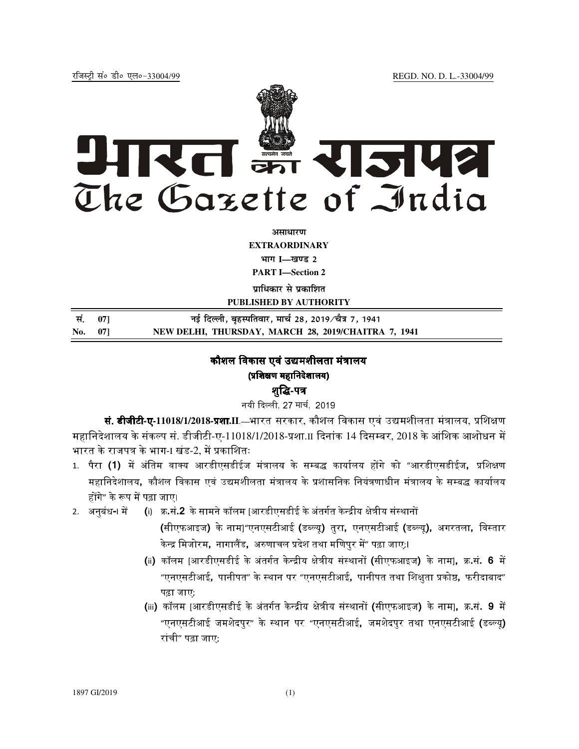

अ**साधार**ण **EXTRAORDINARY Hkkx I—[k.M 2 PART I—Section 2** 

**प्राधिकार से प्रकाशित** 

**PUBLISHED BY AUTHORITY**

| सं. 071 | नई दिल्ली, बृहस्पतिवार, मार्च 28, 2019⁄चैत्र 7, 1941 |
|---------|------------------------------------------------------|
| No. 07] | NEW DELHI, THURSDAY, MARCH 28, 2019/CHAITRA 7, 1941  |

# कौशल विकास एवं उद्यमशीलता मंत्रालय (प्रशिक्षण महानिदेशालय)

## शुद्धि-पत्र

नयी दिल्ली, 27 मार्च, 2019

**सं. डीजीटी-ए-11018/1/2018-प्रशा.II**.—भारत सरकार, कौशल विकास एवं उद्यमशीलता मंत्रालय, प्रशिक्षण महानिदेशालय के संकल्प सं. डीजीटी-ए-11018/1/2018-प्रशा. $\scriptstyle\rm II$  दिनांक 14 दिसम्बर, 2018 के आंशिक आशोधन में भारत के राजपत्र के भाग-ा खंड-2. में प्रकाशितः

- 1. पैरा **(1)** में अंतिम वाक्य आरडीएसडीईज मंत्रालय के सम्बद्ध कार्यालय होंगे को "आरडीएसडीईज**,** प्रशिक्षण महानिदेशालय, कौशल विकास एवं उद्यमशीलता मंत्रालय के प्रशासनिक नियंत्रणाधीन मंत्रालय के सम्बद्ध कार्यालय होंगे″ के रूप में पढ़ा जाए।
- 2. अनुबंध-। में (i) क्र.सं.**2** के सामने कॉलम |आरडीएसडीई के अंतर्गत केन्द्रीय क्षेत्रीय संस्थानों
	- (सीएफआइज) के नाम]"एनएसटीआई (डब्ल्यू) तुरा, एनएसटीआई (डब्ल्यू), अगरतला, विस्तार केन्द्र मिजोरम**,** नागालैंड, अरुणाचल प्रदेश तथा मणिपुर में" पढ़ा जाए;।
	- (ii) कॉलम [आरडीएसडीई के अंतर्गत केन्द्रीय क्षेत्रीय संस्थानों (सीएफआइज) के नाम], क्र.सं. 6 में "एनएसटीआई, पानीपत" के स्थान पर "एनएसटीआई, पानीपत तथा शिक्षुता प्रकोष्ठ, फरीदाबाद" पढ़ा जाए;
	- (iii) कॉलम [आरडीएसडीई के अंतर्गत केन्द्रीय क्षेत्रीय संस्थानों (सीएफआइज) के नाम], क्र.सं. **9** में "एनएसटीआई जमशेदपुर" के स्थान पर "एनएसटीआई, जमशेदपुर तथा एनएसटीआई (डब्ल्यू) रांची" पढ़ा जाए;